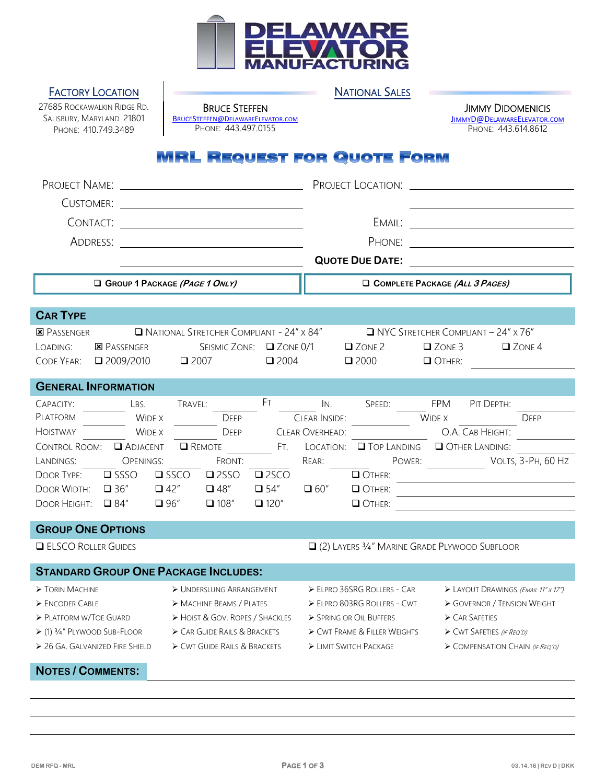

## **FACTORY LOCATION CONSUMING A REPORT OF A REPORT OF A REPORT OF A REPORT OF A REPORT OF A REPORT OF A REPORT OF A REPORT OF A REPORT OF A REPORT OF A REPORT OF A REPORT OF A REPORT OF A REPORT OF A REPORT OF A REPORT OF A**

27685 ROCKAWALKIN RIDGE RD. SALISBURY, MARYLAND 21801 PHONE: 410.749.3489

BRUCE STEFFEN BRUCESTEFFEN@DELAWAREELEVATOR.COM PHONE: 443.497.0155

**JIMMY DIDOMENICIS** JIMMYD@DELAWAREELEVATOR.COM PHONE: 443.614.8612

## **MRL REQUEST FOR QUOTE FORM**

| PROJECT NAME:                                                                             |                                                                  |  |  |  |  |  |
|-------------------------------------------------------------------------------------------|------------------------------------------------------------------|--|--|--|--|--|
| <b>CUSTOMER:</b>                                                                          |                                                                  |  |  |  |  |  |
| CONTACT:                                                                                  | EMAIL:<br><u> 1989 - Johann Barbara, martin a</u>                |  |  |  |  |  |
| ADDRESS:                                                                                  | PHONE:                                                           |  |  |  |  |  |
|                                                                                           | <b>QUOTE DUE DATE:</b>                                           |  |  |  |  |  |
| GROUP 1 PACKAGE (PAGE 1 ONLY)                                                             | COMPLETE PACKAGE (ALL 3 PAGES)                                   |  |  |  |  |  |
| <b>CAR TYPE</b>                                                                           |                                                                  |  |  |  |  |  |
| NATIONAL STRETCHER COMPLIANT - 24" x 84"<br><b>E</b> PASSENGER                            | $\Box$ NYC STRETCHER COMPLIANT - 24" x 76"                       |  |  |  |  |  |
| <b>E</b> PASSENGER<br>SEISMIC ZONE: 2 ZONE 0/1<br>LOADING:                                | $\Box$ ZONE 2<br>$\Box$ ZONE 3<br>$\Box$ ZONE 4                  |  |  |  |  |  |
| $\square$ 2009/2010<br>$\square$ 2004<br>CODE YEAR:<br>$\Box$ 2007                        | $\square$ 2000<br>OTHER:                                         |  |  |  |  |  |
| <b>GENERAL INFORMATION</b>                                                                |                                                                  |  |  |  |  |  |
| FT.<br>CAPACITY:<br>LBS.<br>TRAVEL:                                                       | IN.<br>SPEED:<br><b>FPM</b><br>PIT DEPTH:                        |  |  |  |  |  |
| <b>PLATFORM</b><br><b>WIDE X</b><br><b>DEEP</b>                                           | <b>CLEAR INSIDE:</b><br><b>WIDE X</b><br>DEEP                    |  |  |  |  |  |
| <b>HOISTWAY</b><br><b>WIDE X</b><br><b>DEEP</b>                                           | CLEAR OVERHEAD:<br>O.A. CAB HEIGHT:                              |  |  |  |  |  |
| CONTROL ROOM: <a><br/><b>Q</b> REMOTE<br/>Ft.</a>                                         | LOCATION: TOP LANDING TO OTHER LANDING:                          |  |  |  |  |  |
| LANDINGS:<br><b>OPENINGS:</b><br>FRONT:                                                   | POWER: VOLTS, 3-PH, 60 Hz<br>REAR:                               |  |  |  |  |  |
| <b>DOOR TYPE:</b><br>$\square$ SSSO<br>$\square$ SSCO<br>$\square$ 2SSO<br>$\square$ 2SCO | OTHER:                                                           |  |  |  |  |  |
| $\Box$ 54"<br>$\square$ 36"<br>$\Box$ 42"<br>$\Box$ 48"<br>DOOR WIDTH:                    | $\Box$ 60"<br>OTHER:                                             |  |  |  |  |  |
| $\Box$ 84"<br>$\Box$ 96"<br>$\Box$ 108"<br>$\Box$ 120"<br>DOOR HEIGHT:                    | OTHER:                                                           |  |  |  |  |  |
| <b>GROUP ONE OPTIONS</b>                                                                  |                                                                  |  |  |  |  |  |
| <b>ELSCO ROLLER GUIDES</b>                                                                | Q (2) LAYERS 3/4" MARINE GRADE PLYWOOD SUBFLOOR                  |  |  |  |  |  |
| <b>STANDARD GROUP ONE PACKAGE INCLUDES:</b>                                               |                                                                  |  |  |  |  |  |
| > UNDERSLUNG ARRANGEMENT<br>$\triangleright$ TORIN MACHINE                                | ELPRO 36SRG ROLLERS - CAR<br>> LAYOUT DRAWINGS (EMAIL 11" x 17") |  |  |  |  |  |
| ENCODER CABLE<br>> MACHINE BEAMS / PLATES                                                 | ELPRO 803RG ROLLERS - CWT<br>> GOVERNOR / TENSION WEIGHT         |  |  |  |  |  |
| $\triangleright$ Platform w/Toe Guard<br>> HOIST & GOV. ROPES / SHACKLES                  | > SPRING OR OIL BUFFERS<br>CAR SAFETIES                          |  |  |  |  |  |
| > (1) 3/4" PLYWOOD SUB-FLOOR<br>> CAR GUIDE RAILS & BRACKETS                              | > CWT FRAME & FILLER WEIGHTS<br>CWT SAFETIES (IF REQ'D)          |  |  |  |  |  |
| > 26 GA. GALVANIZED FIRE SHIELD<br>CWT GUIDE RAILS & BRACKETS                             | > LIMIT SWITCH PACKAGE<br>COMPENSATION CHAIN (IF REQ'D)          |  |  |  |  |  |
| <b>NOTES / COMMENTS:</b>                                                                  |                                                                  |  |  |  |  |  |
|                                                                                           |                                                                  |  |  |  |  |  |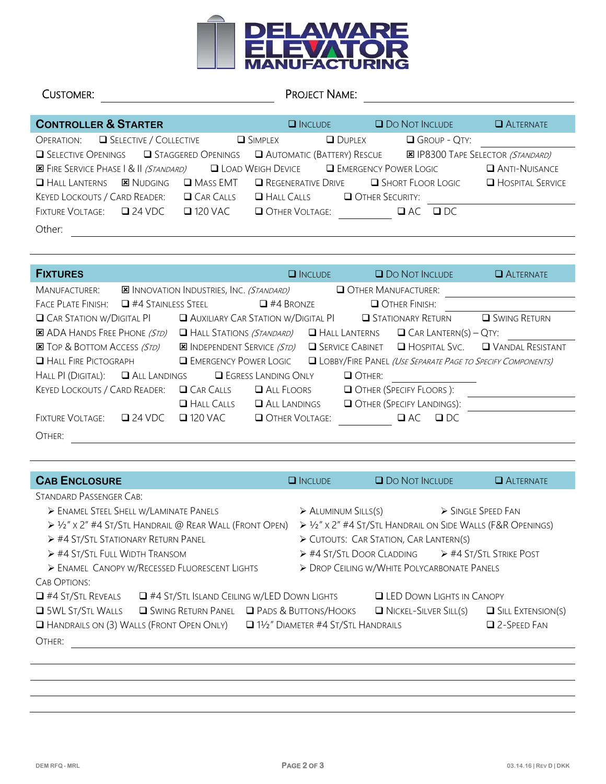

| CUSTOMER:                                                                                      | PROJECT NAME:                            |                               |                                          |
|------------------------------------------------------------------------------------------------|------------------------------------------|-------------------------------|------------------------------------------|
|                                                                                                |                                          |                               |                                          |
| <b>CONTROLLER &amp; STARTER</b>                                                                | $\Box$ INCLUDE                           | <b>Q DO NOT INCLUDE</b>       | <b>ALTERNATE</b>                         |
| SELECTIVE / COLLECTIVE<br>OPERATION:                                                           | <b>SIMPLEX</b>                           | GROUP - QTY:<br>$\Box$ DUPLEX |                                          |
| <b>STAGGERED OPENINGS</b><br>$\Box$ Selective Openings                                         | $\Box$ Automatic (Battery) Rescue        |                               | <b>X</b> IP8300 TAPE SELECTOR (STANDARD) |
| <b>ES FIRE SERVICE PHASE 1 &amp; 11 (STANDARD)</b> □ LOAD WEIGH DEVICE □ EMERGENCY POWER LOGIC |                                          |                               | ANTI-NUISANCE                            |
| $\Box$ Hall Lanterns<br><b>E</b> NUDGING                                                       | $\square$ Mass EMT<br>REGENERATIVE DRIVE | <b>SHORT FLOOR LOGIC</b>      | <b>HOSPITAL SERVICE</b>                  |
| KEYED LOCKOUTS / CARD READER:                                                                  | $\Box$ CAR CALLS<br>$H$ ALL CALLS        | O OTHER SECURITY:             |                                          |
| $\Box$ 24 VDC<br><b>FIXTURE VOLTAGE:</b>                                                       | $\Box$ 120 VAC<br>OTHER VOLTAGE:         | $\Box$ AC<br>$\Box$ DC        |                                          |
| Other:                                                                                         |                                          |                               |                                          |

| <b>FIXTURES</b>                      |                           |                                                 |                              | $\Box$ INCLUDE |                           | <b>O</b> DO NOT INCLUDE  |                              | <b>ALTERNATE</b>                                                   |
|--------------------------------------|---------------------------|-------------------------------------------------|------------------------------|----------------|---------------------------|--------------------------|------------------------------|--------------------------------------------------------------------|
| MANUFACTURER:                        |                           | <b>X</b> INNOVATION INDUSTRIES, INC. (STANDARD) |                              |                | OTHER MANUFACTURER:       |                          |                              |                                                                    |
| <b>FACE PLATE FINISH:</b>            | $\Box$ #4 Stainless Steel |                                                 | $\Box$ #4 BRONZE             |                |                           | OTHER FINISH:            |                              |                                                                    |
| <b>Q</b> CAR STATION W/DIGITAL PI    |                           | $\Box$ Auxiliary Car Station w/Digital PI       |                              |                |                           | <b>STATIONARY RETURN</b> |                              | <b>Q</b> SWING RETURN                                              |
| <b>E ADA HANDS FREE PHONE (STD)</b>  |                           | $\Box$ Hall Stations <i>(Standard)</i>          |                              |                | $\Box$ Hall Lanterns      |                          | $\Box$ Car Lantern(s) – Qty: |                                                                    |
| <b>EX</b> TOP & BOTTOM ACCESS (STD)  |                           | <b>E INDEPENDENT SERVICE (STD)</b>              |                              |                | <b>SERVICE CABINET</b>    |                          | $\Box$ HOSPITAL SVC.         | <b>U</b> VANDAL RESISTANT                                          |
| HALL FIRE PICTOGRAPH                 |                           | <b>ENERGENCY POWER LOGIC</b>                    |                              |                |                           |                          |                              | <b>ULOBBY/FIRE PANEL (USE SEPARATE PAGE TO SPECIFY COMPONENTS)</b> |
| HALL PI (DIGITAL):                   | ALL LANDINGS              |                                                 | <b>E</b> EGRESS LANDING ONLY |                | O OTHER:                  |                          |                              |                                                                    |
| <b>KEYED LOCKOUTS / CARD READER:</b> |                           | CAR CAILS                                       | $\Box$ ALL FLOORS            |                | OTHER (SPECIFY FLOORS):   |                          |                              |                                                                    |
|                                      |                           | $H$ ALL CALLS                                   | $\Box$ ALL LANDINGS          |                | OTHER (SPECIFY LANDINGS): |                          |                              |                                                                    |
| <b>FIXTURE VOLTAGE:</b>              | $\square$ 24 VDC          | $\Box$ 120 VAC                                  | OTHER VOLTAGE:               |                |                           | $\Box$ AC                | $\Box$ DC                    |                                                                    |
| OTHER:                               |                           |                                                 |                              |                |                           |                          |                              |                                                                    |

| <b>CAB ENCLOSURE</b>                                                          |                                                                        | $\Box$ INCLUDE                                  | <b>O</b> DO NOT INCLUDE                                  |                                                                            | <b>ALTERNATE</b> |                          |  |
|-------------------------------------------------------------------------------|------------------------------------------------------------------------|-------------------------------------------------|----------------------------------------------------------|----------------------------------------------------------------------------|------------------|--------------------------|--|
| STANDARD PASSENGER CAB:                                                       |                                                                        |                                                 |                                                          |                                                                            |                  |                          |  |
|                                                                               | > ENAMEL STEEL SHELL W/LAMINATE PANELS                                 |                                                 | > SINGLE SPEED FAN<br>$\triangleright$ ALUMINUM SILLS(S) |                                                                            |                  |                          |  |
|                                                                               | $\triangleright$ 1/2" x 2" #4 St/Stl Handrail @ Rear Wall (Front Open) |                                                 |                                                          | $\triangleright$ 1/2" x 2" #4 St/Stl Handrail on Side Walls (F&R OPENINGS) |                  |                          |  |
| $\triangleright$ #4 St/Stl Stationary Return Panel                            |                                                                        |                                                 |                                                          | CUTOUTS: CAR STATION, CAR LANTERN(S)                                       |                  |                          |  |
| $\triangleright$ #4 St/Stl Full Width Transom                                 |                                                                        |                                                 | > #4 ST/STL DOOR CLADDING > #4 ST/STL STRIKE POST        |                                                                            |                  |                          |  |
| > ENAMEL CANOPY W/RECESSED FLUORESCENT LIGHTS                                 |                                                                        |                                                 | > DROP CEILING W/WHITE POLYCARBONATE PANELS              |                                                                            |                  |                          |  |
| CAB OPTIONS:                                                                  |                                                                        |                                                 |                                                          |                                                                            |                  |                          |  |
| $\Box$ #4 St/Stl Reveals<br>$\Box$ #4 ST/STL ISLAND CEILING W/LED DOWN LIGHTS |                                                                        |                                                 | <b>LED DOWN LIGHTS IN CANOPY</b>                         |                                                                            |                  |                          |  |
| <b>SWL ST/STL WALLS</b>                                                       |                                                                        | <b>SWING RETURN PANEL </b> PADS & BUTTONS/HOOKS |                                                          | $\Box$ NICKEL-SILVER SILL(S)                                               |                  | $\Box$ Sill Extension(s) |  |
|                                                                               | $\Box$ Handrails on (3) Walls (Front Open Only)                        |                                                 | $\Box$ 1½" Diameter #4 St/Stl Handrails                  |                                                                            |                  | $\Box$ 2-Speed Fan       |  |
| OTHER:                                                                        |                                                                        |                                                 |                                                          |                                                                            |                  |                          |  |
|                                                                               |                                                                        |                                                 |                                                          |                                                                            |                  |                          |  |
|                                                                               |                                                                        |                                                 |                                                          |                                                                            |                  |                          |  |